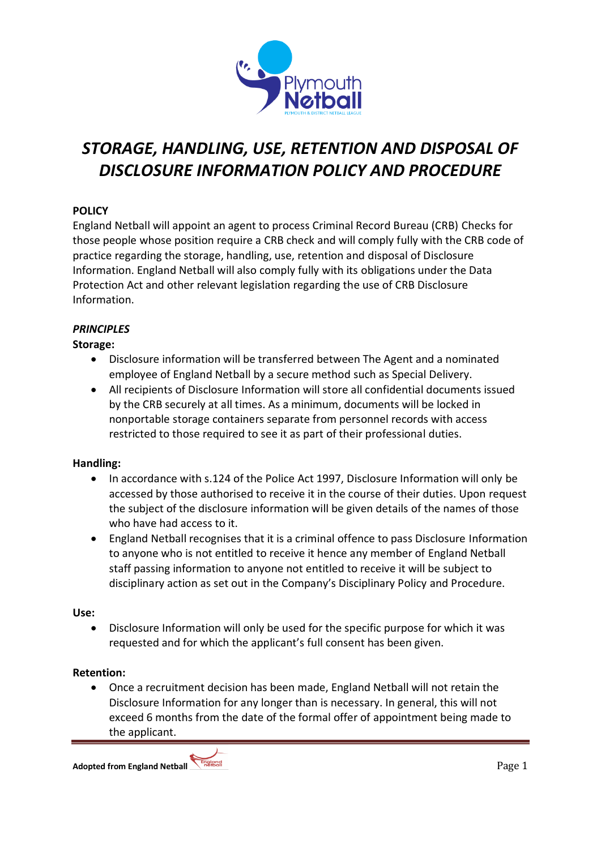

# *STORAGE, HANDLING, USE, RETENTION AND DISPOSAL OF DISCLOSURE INFORMATION POLICY AND PROCEDURE*

# **POLICY**

England Netball will appoint an agent to process Criminal Record Bureau (CRB) Checks for those people whose position require a CRB check and will comply fully with the CRB code of practice regarding the storage, handling, use, retention and disposal of Disclosure Information. England Netball will also comply fully with its obligations under the Data Protection Act and other relevant legislation regarding the use of CRB Disclosure Information.

## *PRINCIPLES*

## **Storage:**

- Disclosure information will be transferred between The Agent and a nominated employee of England Netball by a secure method such as Special Delivery.
- All recipients of Disclosure Information will store all confidential documents issued by the CRB securely at all times. As a minimum, documents will be locked in nonportable storage containers separate from personnel records with access restricted to those required to see it as part of their professional duties.

## **Handling:**

- In accordance with s.124 of the Police Act 1997, Disclosure Information will only be accessed by those authorised to receive it in the course of their duties. Upon request the subject of the disclosure information will be given details of the names of those who have had access to it.
- England Netball recognises that it is a criminal offence to pass Disclosure Information to anyone who is not entitled to receive it hence any member of England Netball staff passing information to anyone not entitled to receive it will be subject to disciplinary action as set out in the Company's Disciplinary Policy and Procedure.

## **Use:**

 Disclosure Information will only be used for the specific purpose for which it was requested and for which the applicant's full consent has been given.

## **Retention:**

 Once a recruitment decision has been made, England Netball will not retain the Disclosure Information for any longer than is necessary. In general, this will not exceed 6 months from the date of the formal offer of appointment being made to the applicant.